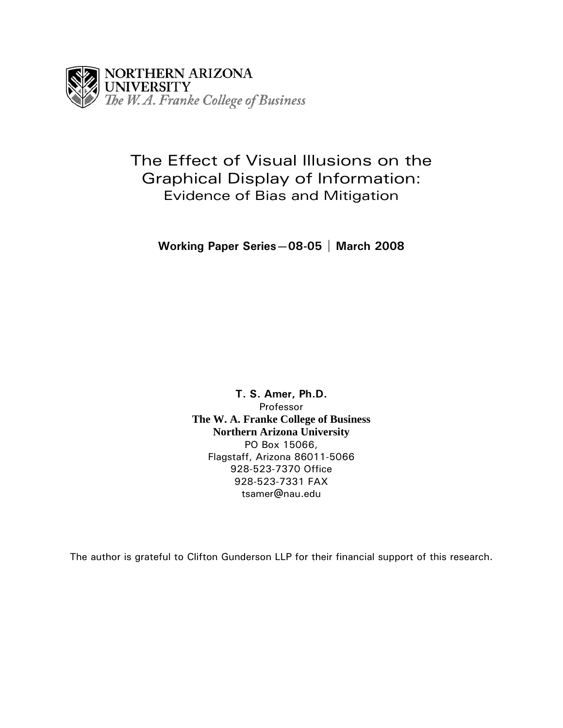

# The Effect of Visual Illusions on the Graphical Display of Information: Evidence of Bias and Mitigation

**Working Paper Series—08-05 | March 2008** 

**T. S. Amer, Ph.D.**  Professor **The W. A. Franke College of Business Northern Arizona University**  PO Box 15066, Flagstaff, Arizona 86011-5066 928-523-7370 Office 928-523-7331 FAX tsamer@nau.edu

The author is grateful to Clifton Gunderson LLP for their financial support of this research.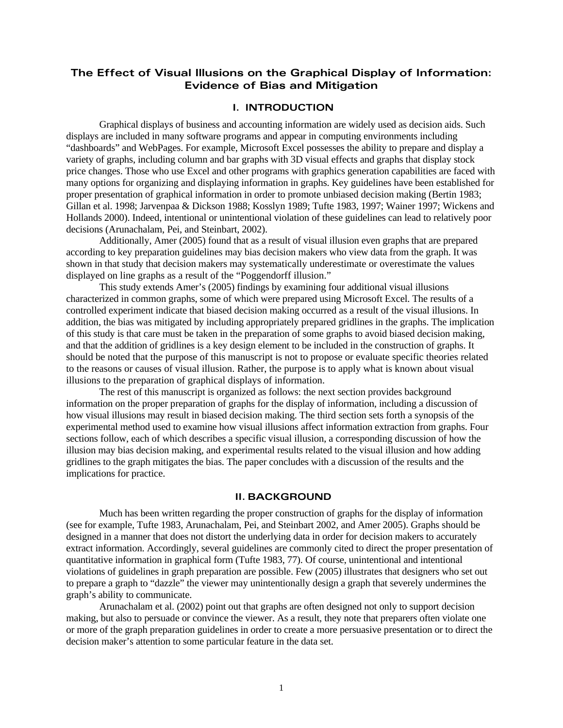# **The Effect of Visual Illusions on the Graphical Display of Information: Evidence of Bias and Mitigation**

## **I. INTRODUCTION**

Graphical displays of business and accounting information are widely used as decision aids. Such displays are included in many software programs and appear in computing environments including "dashboards" and WebPages. For example, Microsoft Excel possesses the ability to prepare and display a variety of graphs, including column and bar graphs with 3D visual effects and graphs that display stock price changes. Those who use Excel and other programs with graphics generation capabilities are faced with many options for organizing and displaying information in graphs. Key guidelines have been established for proper presentation of graphical information in order to promote unbiased decision making (Bertin 1983; Gillan et al. 1998; Jarvenpaa & Dickson 1988; Kosslyn 1989; Tufte 1983, 1997; Wainer 1997; Wickens and Hollands 2000). Indeed, intentional or unintentional violation of these guidelines can lead to relatively poor decisions (Arunachalam, Pei, and Steinbart, 2002).

Additionally, Amer (2005) found that as a result of visual illusion even graphs that are prepared according to key preparation guidelines may bias decision makers who view data from the graph. It was shown in that study that decision makers may systematically underestimate or overestimate the values displayed on line graphs as a result of the "Poggendorff illusion."

This study extends Amer's (2005) findings by examining four additional visual illusions characterized in common graphs, some of which were prepared using Microsoft Excel. The results of a controlled experiment indicate that biased decision making occurred as a result of the visual illusions. In addition, the bias was mitigated by including appropriately prepared gridlines in the graphs. The implication of this study is that care must be taken in the preparation of some graphs to avoid biased decision making, and that the addition of gridlines is a key design element to be included in the construction of graphs. It should be noted that the purpose of this manuscript is not to propose or evaluate specific theories related to the reasons or causes of visual illusion. Rather, the purpose is to apply what is known about visual illusions to the preparation of graphical displays of information.

The rest of this manuscript is organized as follows: the next section provides background information on the proper preparation of graphs for the display of information, including a discussion of how visual illusions may result in biased decision making. The third section sets forth a synopsis of the experimental method used to examine how visual illusions affect information extraction from graphs. Four sections follow, each of which describes a specific visual illusion, a corresponding discussion of how the illusion may bias decision making, and experimental results related to the visual illusion and how adding gridlines to the graph mitigates the bias. The paper concludes with a discussion of the results and the implications for practice.

## **II. BACKGROUND**

Much has been written regarding the proper construction of graphs for the display of information (see for example, Tufte 1983, Arunachalam, Pei, and Steinbart 2002, and Amer 2005). Graphs should be designed in a manner that does not distort the underlying data in order for decision makers to accurately extract information. Accordingly, several guidelines are commonly cited to direct the proper presentation of quantitative information in graphical form (Tufte 1983, 77). Of course, unintentional and intentional violations of guidelines in graph preparation are possible. Few (2005) illustrates that designers who set out to prepare a graph to "dazzle" the viewer may unintentionally design a graph that severely undermines the graph's ability to communicate.

Arunachalam et al. (2002) point out that graphs are often designed not only to support decision making, but also to persuade or convince the viewer. As a result, they note that preparers often violate one or more of the graph preparation guidelines in order to create a more persuasive presentation or to direct the decision maker's attention to some particular feature in the data set.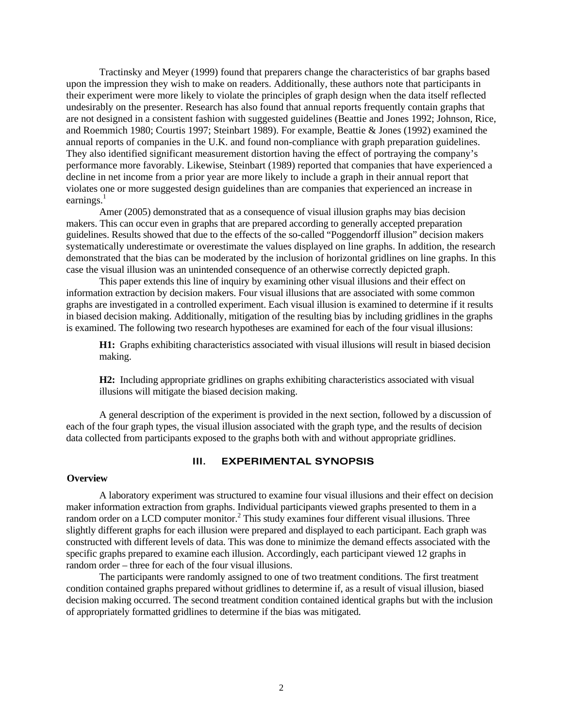Tractinsky and Meyer (1999) found that preparers change the characteristics of bar graphs based upon the impression they wish to make on readers. Additionally, these authors note that participants in their experiment were more likely to violate the principles of graph design when the data itself reflected undesirably on the presenter. Research has also found that annual reports frequently contain graphs that are not designed in a consistent fashion with suggested guidelines (Beattie and Jones 1992; Johnson, Rice, and Roemmich 1980; Courtis 1997; Steinbart 1989). For example, Beattie & Jones (1992) examined the annual reports of companies in the U.K. and found non-compliance with graph preparation guidelines. They also identified significant measurement distortion having the effect of portraying the company's performance more favorably. Likewise, Steinbart (1989) reported that companies that have experienced a decline in net income from a prior year are more likely to include a graph in their annual report that violates one or more suggested design guidelines than are companies that experienced an increase in earnings. $<sup>1</sup>$ </sup>

Amer (2005) demonstrated that as a consequence of visual illusion graphs may bias decision makers. This can occur even in graphs that are prepared according to generally accepted preparation guidelines. Results showed that due to the effects of the so-called "Poggendorff illusion" decision makers systematically underestimate or overestimate the values displayed on line graphs. In addition, the research demonstrated that the bias can be moderated by the inclusion of horizontal gridlines on line graphs. In this case the visual illusion was an unintended consequence of an otherwise correctly depicted graph.

This paper extends this line of inquiry by examining other visual illusions and their effect on information extraction by decision makers. Four visual illusions that are associated with some common graphs are investigated in a controlled experiment. Each visual illusion is examined to determine if it results in biased decision making. Additionally, mitigation of the resulting bias by including gridlines in the graphs is examined. The following two research hypotheses are examined for each of the four visual illusions:

**H1:** Graphs exhibiting characteristics associated with visual illusions will result in biased decision making.

**H2:** Including appropriate gridlines on graphs exhibiting characteristics associated with visual illusions will mitigate the biased decision making.

A general description of the experiment is provided in the next section, followed by a discussion of each of the four graph types, the visual illusion associated with the graph type, and the results of decision data collected from participants exposed to the graphs both with and without appropriate gridlines.

# **III. EXPERIMENTAL SYNOPSIS**

### **Overview**

A laboratory experiment was structured to examine four visual illusions and their effect on decision maker information extraction from graphs. Individual participants viewed graphs presented to them in a random order on a LCD computer monitor.<sup>2</sup> This study examines four different visual illusions. Three slightly different graphs for each illusion were prepared and displayed to each participant. Each graph was constructed with different levels of data. This was done to minimize the demand effects associated with the specific graphs prepared to examine each illusion. Accordingly, each participant viewed 12 graphs in random order – three for each of the four visual illusions.

The participants were randomly assigned to one of two treatment conditions. The first treatment condition contained graphs prepared without gridlines to determine if, as a result of visual illusion, biased decision making occurred. The second treatment condition contained identical graphs but with the inclusion of appropriately formatted gridlines to determine if the bias was mitigated.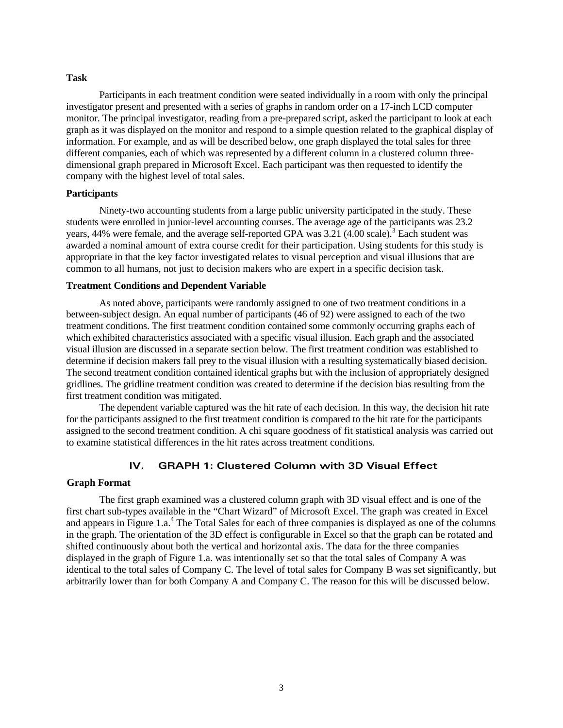### **Task**

Participants in each treatment condition were seated individually in a room with only the principal investigator present and presented with a series of graphs in random order on a 17-inch LCD computer monitor. The principal investigator, reading from a pre-prepared script, asked the participant to look at each graph as it was displayed on the monitor and respond to a simple question related to the graphical display of information. For example, and as will be described below, one graph displayed the total sales for three different companies, each of which was represented by a different column in a clustered column threedimensional graph prepared in Microsoft Excel. Each participant was then requested to identify the company with the highest level of total sales.

### **Participants**

Ninety-two accounting students from a large public university participated in the study. These students were enrolled in junior-level accounting courses. The average age of the participants was 23.2 years, 44% were female, and the average self-reported GPA was  $3.21$  (4.00 scale).<sup>3</sup> Each student was awarded a nominal amount of extra course credit for their participation. Using students for this study is appropriate in that the key factor investigated relates to visual perception and visual illusions that are common to all humans, not just to decision makers who are expert in a specific decision task.

## **Treatment Conditions and Dependent Variable**

As noted above, participants were randomly assigned to one of two treatment conditions in a between-subject design. An equal number of participants (46 of 92) were assigned to each of the two treatment conditions. The first treatment condition contained some commonly occurring graphs each of which exhibited characteristics associated with a specific visual illusion. Each graph and the associated visual illusion are discussed in a separate section below. The first treatment condition was established to determine if decision makers fall prey to the visual illusion with a resulting systematically biased decision. The second treatment condition contained identical graphs but with the inclusion of appropriately designed gridlines. The gridline treatment condition was created to determine if the decision bias resulting from the first treatment condition was mitigated.

The dependent variable captured was the hit rate of each decision. In this way, the decision hit rate for the participants assigned to the first treatment condition is compared to the hit rate for the participants assigned to the second treatment condition. A chi square goodness of fit statistical analysis was carried out to examine statistical differences in the hit rates across treatment conditions.

## **IV. GRAPH 1: Clustered Column with 3D Visual Effect**

### **Graph Format**

The first graph examined was a clustered column graph with 3D visual effect and is one of the first chart sub-types available in the "Chart Wizard" of Microsoft Excel. The graph was created in Excel and appears in Figure 1.a.<sup>4</sup> The Total Sales for each of three companies is displayed as one of the columns in the graph. The orientation of the 3D effect is configurable in Excel so that the graph can be rotated and shifted continuously about both the vertical and horizontal axis. The data for the three companies displayed in the graph of Figure 1.a. was intentionally set so that the total sales of Company A was identical to the total sales of Company C. The level of total sales for Company B was set significantly, but arbitrarily lower than for both Company A and Company C. The reason for this will be discussed below.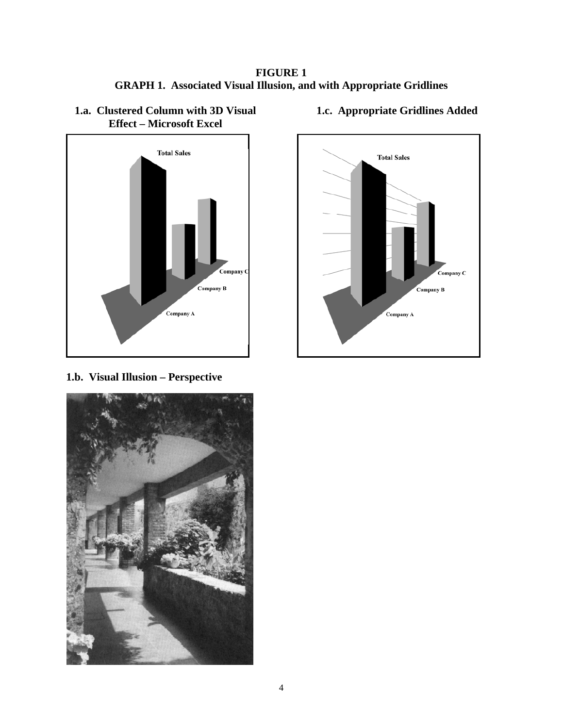**FIGURE 1 GRAPH 1. Associated Visual Illusion, and with Appropriate Gridlines** 



# **1.a. Clustered Column with 3D Visual Effect – Microsoft Excel**

**1.c. Appropriate Gridlines Added**



**1.b. Visual Illusion – Perspective**

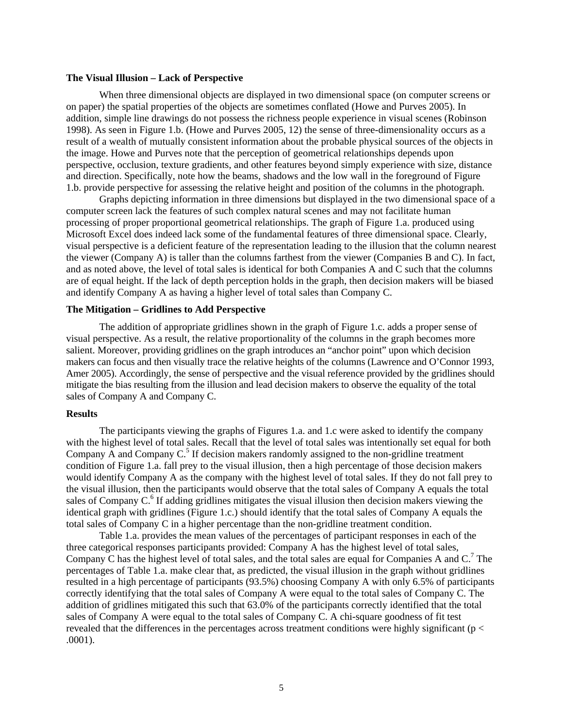### **The Visual Illusion – Lack of Perspective**

When three dimensional objects are displayed in two dimensional space (on computer screens or on paper) the spatial properties of the objects are sometimes conflated (Howe and Purves 2005). In addition, simple line drawings do not possess the richness people experience in visual scenes (Robinson 1998). As seen in Figure 1.b. (Howe and Purves 2005, 12) the sense of three-dimensionality occurs as a result of a wealth of mutually consistent information about the probable physical sources of the objects in the image. Howe and Purves note that the perception of geometrical relationships depends upon perspective, occlusion, texture gradients, and other features beyond simply experience with size, distance and direction. Specifically, note how the beams, shadows and the low wall in the foreground of Figure 1.b. provide perspective for assessing the relative height and position of the columns in the photograph.

Graphs depicting information in three dimensions but displayed in the two dimensional space of a computer screen lack the features of such complex natural scenes and may not facilitate human processing of proper proportional geometrical relationships. The graph of Figure 1.a. produced using Microsoft Excel does indeed lack some of the fundamental features of three dimensional space. Clearly, visual perspective is a deficient feature of the representation leading to the illusion that the column nearest the viewer (Company A) is taller than the columns farthest from the viewer (Companies B and C). In fact, and as noted above, the level of total sales is identical for both Companies A and C such that the columns are of equal height. If the lack of depth perception holds in the graph, then decision makers will be biased and identify Company A as having a higher level of total sales than Company C.

## **The Mitigation – Gridlines to Add Perspective**

The addition of appropriate gridlines shown in the graph of Figure 1.c. adds a proper sense of visual perspective. As a result, the relative proportionality of the columns in the graph becomes more salient. Moreover, providing gridlines on the graph introduces an "anchor point" upon which decision makers can focus and then visually trace the relative heights of the columns (Lawrence and O'Connor 1993, Amer 2005). Accordingly, the sense of perspective and the visual reference provided by the gridlines should mitigate the bias resulting from the illusion and lead decision makers to observe the equality of the total sales of Company A and Company C.

### **Results**

The participants viewing the graphs of Figures 1.a. and 1.c were asked to identify the company with the highest level of total sales. Recall that the level of total sales was intentionally set equal for both Company  $\overline{A}$  and Company  $\overline{C}$ .<sup>5</sup> If decision makers randomly assigned to the non-gridline treatment condition of Figure 1.a. fall prey to the visual illusion, then a high percentage of those decision makers would identify Company A as the company with the highest level of total sales. If they do not fall prey to the visual illusion, then the participants would observe that the total sales of Company A equals the total sales of Company C.<sup>6</sup> If adding gridlines mitigates the visual illusion then decision makers viewing the identical graph with gridlines (Figure 1.c.) should identify that the total sales of Company A equals the total sales of Company C in a higher percentage than the non-gridline treatment condition.

Table 1.a. provides the mean values of the percentages of participant responses in each of the three categorical responses participants provided: Company A has the highest level of total sales, Company C has the highest level of total sales, and the total sales are equal for Companies A and C.<sup>7</sup> The percentages of Table 1.a. make clear that, as predicted, the visual illusion in the graph without gridlines resulted in a high percentage of participants (93.5%) choosing Company A with only 6.5% of participants correctly identifying that the total sales of Company A were equal to the total sales of Company C. The addition of gridlines mitigated this such that 63.0% of the participants correctly identified that the total sales of Company A were equal to the total sales of Company C. A chi-square goodness of fit test revealed that the differences in the percentages across treatment conditions were highly significant ( $p <$ .0001).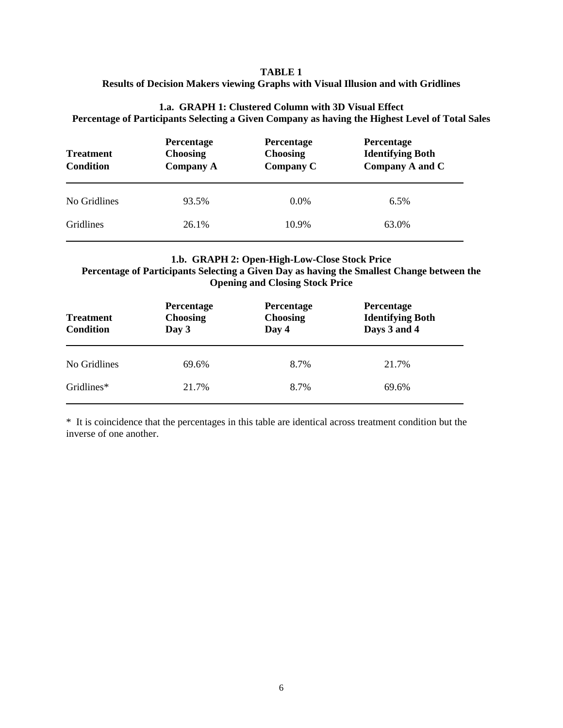## **TABLE 1 Results of Decision Makers viewing Graphs with Visual Illusion and with Gridlines**

# **1.a. GRAPH 1: Clustered Column with 3D Visual Effect Percentage of Participants Selecting a Given Company as having the Highest Level of Total Sales**

| <b>Treatment</b><br><b>Condition</b> | Percentage<br><b>Choosing</b><br><b>Company A</b> | Percentage<br><b>Choosing</b><br><b>Company C</b> | Percentage<br><b>Identifying Both</b><br>Company A and C |
|--------------------------------------|---------------------------------------------------|---------------------------------------------------|----------------------------------------------------------|
| No Gridlines                         | 93.5%                                             | $0.0\%$                                           | 6.5%                                                     |
| <b>Gridlines</b>                     | 26.1%                                             | 10.9%                                             | 63.0%                                                    |

# **1.b. GRAPH 2: Open-High-Low-Close Stock Price Percentage of Participants Selecting a Given Day as having the Smallest Change between the Opening and Closing Stock Price**

| <b>Treatment</b><br>Condition | Percentage<br><b>Choosing</b><br>Day 3 | Percentage<br><b>Choosing</b><br>Day 4 | Percentage<br><b>Identifying Both</b><br>Days 3 and 4 |
|-------------------------------|----------------------------------------|----------------------------------------|-------------------------------------------------------|
| No Gridlines                  | 69.6%                                  | 8.7%                                   | 21.7%                                                 |
| Gridlines*                    | 21.7%                                  | 8.7%                                   | 69.6%                                                 |

\* It is coincidence that the percentages in this table are identical across treatment condition but the inverse of one another.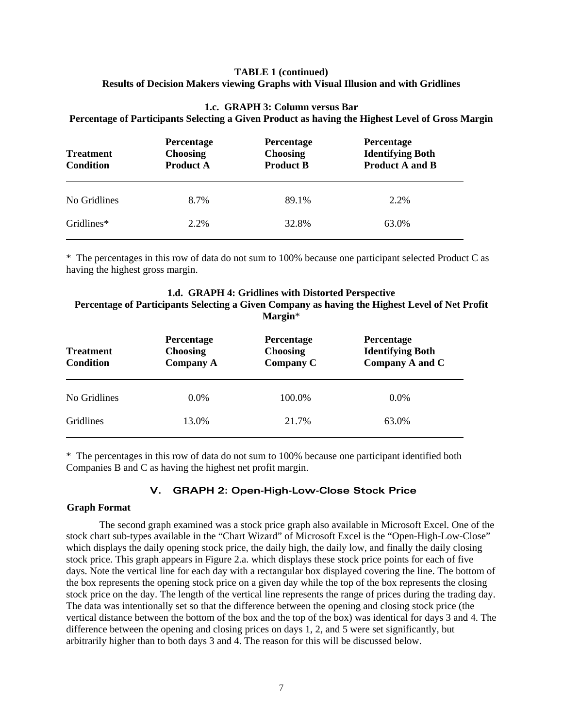## **TABLE 1 (continued) Results of Decision Makers viewing Graphs with Visual Illusion and with Gridlines**

# **1.c. GRAPH 3: Column versus Bar**

**Percentage of Participants Selecting a Given Product as having the Highest Level of Gross Margin** 

| <b>Treatment</b><br><b>Condition</b> | Percentage<br><b>Choosing</b><br><b>Product A</b> | <b>Percentage</b><br><b>Choosing</b><br><b>Product B</b> | Percentage<br><b>Identifying Both</b><br><b>Product A and B</b> |
|--------------------------------------|---------------------------------------------------|----------------------------------------------------------|-----------------------------------------------------------------|
| No Gridlines                         | 8.7%                                              | 89.1%                                                    | 2.2%                                                            |
| Gridlines*                           | 2.2%                                              | 32.8%                                                    | 63.0%                                                           |

\* The percentages in this row of data do not sum to 100% because one participant selected Product C as having the highest gross margin.

## **1.d. GRAPH 4: Gridlines with Distorted Perspective Percentage of Participants Selecting a Given Company as having the Highest Level of Net Profit Margin**\*

| <b>Treatment</b><br><b>Condition</b> | Percentage<br><b>Choosing</b><br><b>Company A</b> | <b>Percentage</b><br><b>Choosing</b><br><b>Company C</b> | Percentage<br><b>Identifying Both</b><br>Company A and C |
|--------------------------------------|---------------------------------------------------|----------------------------------------------------------|----------------------------------------------------------|
| No Gridlines                         | $0.0\%$                                           | 100.0%                                                   | $0.0\%$                                                  |
| <b>Gridlines</b>                     | 13.0%                                             | 21.7%                                                    | 63.0%                                                    |

\* The percentages in this row of data do not sum to 100% because one participant identified both Companies B and C as having the highest net profit margin.

## **V. GRAPH 2: Open-High-Low-Close Stock Price**

## **Graph Format**

The second graph examined was a stock price graph also available in Microsoft Excel. One of the stock chart sub-types available in the "Chart Wizard" of Microsoft Excel is the "Open-High-Low-Close" which displays the daily opening stock price, the daily high, the daily low, and finally the daily closing stock price. This graph appears in Figure 2.a. which displays these stock price points for each of five days. Note the vertical line for each day with a rectangular box displayed covering the line. The bottom of the box represents the opening stock price on a given day while the top of the box represents the closing stock price on the day. The length of the vertical line represents the range of prices during the trading day. The data was intentionally set so that the difference between the opening and closing stock price (the vertical distance between the bottom of the box and the top of the box) was identical for days 3 and 4. The difference between the opening and closing prices on days 1, 2, and 5 were set significantly, but arbitrarily higher than to both days 3 and 4. The reason for this will be discussed below.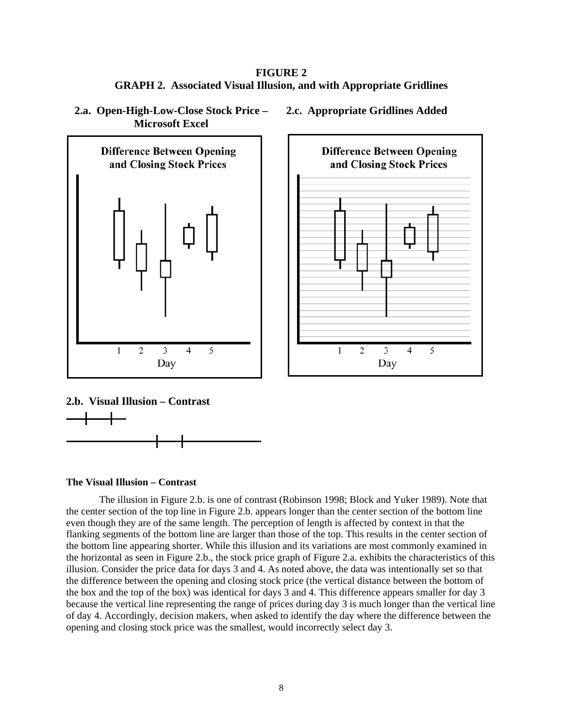**FIGURE 2 GRAPH 2. Associated Visual Illusion, and with Appropriate Gridlines** 







# **2.b. Visual Illusion – Contrast**



## **The Visual Illusion – Contrast**

The illusion in Figure 2.b. is one of contrast (Robinson 1998; Block and Yuker 1989). Note that the center section of the top line in Figure 2.b. appears longer than the center section of the bottom line even though they are of the same length. The perception of length is affected by context in that the flanking segments of the bottom line are larger than those of the top. This results in the center section of the bottom line appearing shorter. While this illusion and its variations are most commonly examined in the horizontal as seen in Figure 2.b., the stock price graph of Figure 2.a. exhibits the characteristics of this illusion. Consider the price data for days 3 and 4. As noted above, the data was intentionally set so that the difference between the opening and closing stock price (the vertical distance between the bottom of the box and the top of the box) was identical for days 3 and 4. This difference appears smaller for day 3 because the vertical line representing the range of prices during day 3 is much longer than the vertical line of day 4. Accordingly, decision makers, when asked to identify the day where the difference between the opening and closing stock price was the smallest, would incorrectly select day 3.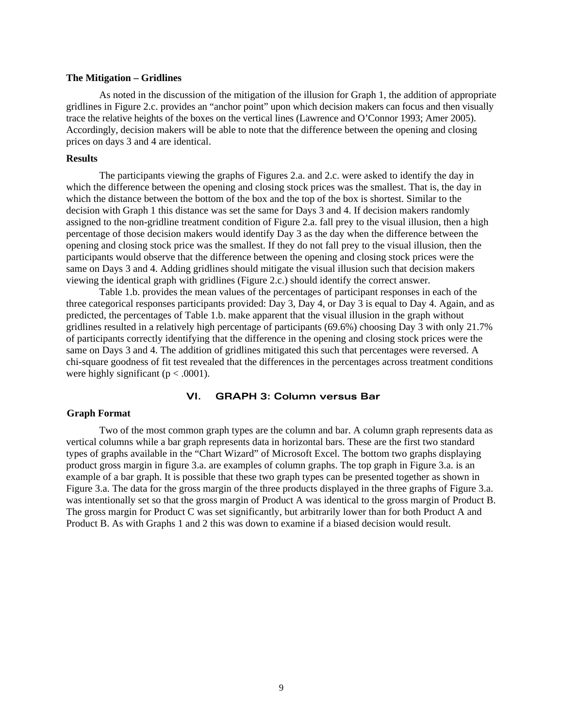### **The Mitigation – Gridlines**

As noted in the discussion of the mitigation of the illusion for Graph 1, the addition of appropriate gridlines in Figure 2.c. provides an "anchor point" upon which decision makers can focus and then visually trace the relative heights of the boxes on the vertical lines (Lawrence and O'Connor 1993; Amer 2005). Accordingly, decision makers will be able to note that the difference between the opening and closing prices on days 3 and 4 are identical.

### **Results**

The participants viewing the graphs of Figures 2.a. and 2.c. were asked to identify the day in which the difference between the opening and closing stock prices was the smallest. That is, the day in which the distance between the bottom of the box and the top of the box is shortest. Similar to the decision with Graph 1 this distance was set the same for Days 3 and 4. If decision makers randomly assigned to the non-gridline treatment condition of Figure 2.a. fall prey to the visual illusion, then a high percentage of those decision makers would identify Day 3 as the day when the difference between the opening and closing stock price was the smallest. If they do not fall prey to the visual illusion, then the participants would observe that the difference between the opening and closing stock prices were the same on Days 3 and 4. Adding gridlines should mitigate the visual illusion such that decision makers viewing the identical graph with gridlines (Figure 2.c.) should identify the correct answer.

Table 1.b. provides the mean values of the percentages of participant responses in each of the three categorical responses participants provided: Day 3, Day 4, or Day 3 is equal to Day 4. Again, and as predicted, the percentages of Table 1.b. make apparent that the visual illusion in the graph without gridlines resulted in a relatively high percentage of participants (69.6%) choosing Day 3 with only 21.7% of participants correctly identifying that the difference in the opening and closing stock prices were the same on Days 3 and 4. The addition of gridlines mitigated this such that percentages were reversed. A chi-square goodness of fit test revealed that the differences in the percentages across treatment conditions were highly significant ( $p < .0001$ ).

## **VI. GRAPH 3: Column versus Bar**

## **Graph Format**

Two of the most common graph types are the column and bar. A column graph represents data as vertical columns while a bar graph represents data in horizontal bars. These are the first two standard types of graphs available in the "Chart Wizard" of Microsoft Excel. The bottom two graphs displaying product gross margin in figure 3.a. are examples of column graphs. The top graph in Figure 3.a. is an example of a bar graph. It is possible that these two graph types can be presented together as shown in Figure 3.a. The data for the gross margin of the three products displayed in the three graphs of Figure 3.a. was intentionally set so that the gross margin of Product A was identical to the gross margin of Product B. The gross margin for Product C was set significantly, but arbitrarily lower than for both Product A and Product B. As with Graphs 1 and 2 this was down to examine if a biased decision would result.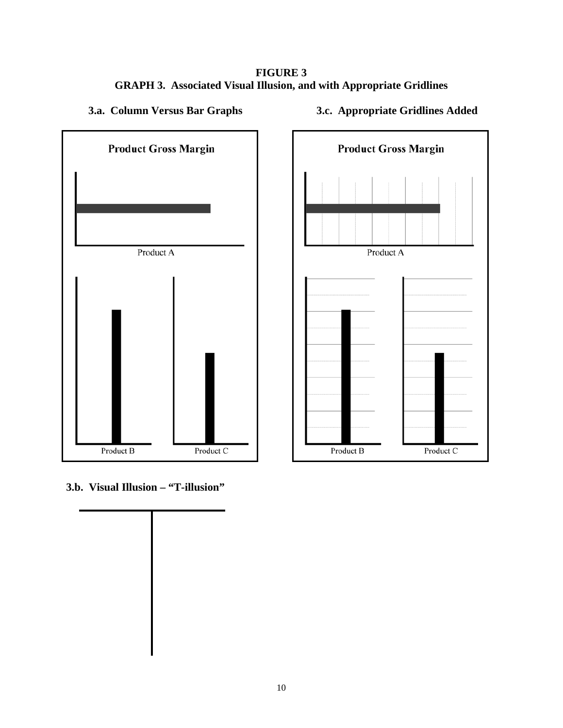**FIGURE 3 GRAPH 3. Associated Visual Illusion, and with Appropriate Gridlines** 

**3.a. Column Versus Bar Graphs** 







**3.b. Visual Illusion – "T-illusion"** 

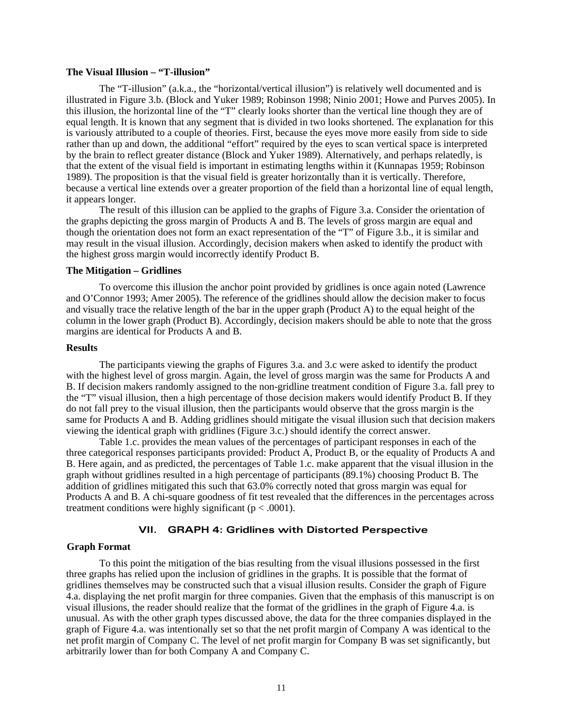### **The Visual Illusion – "T-illusion"**

The "T-illusion" (a.k.a., the "horizontal/vertical illusion") is relatively well documented and is illustrated in Figure 3.b. (Block and Yuker 1989; Robinson 1998; Ninio 2001; Howe and Purves 2005). In this illusion, the horizontal line of the "T" clearly looks shorter than the vertical line though they are of equal length. It is known that any segment that is divided in two looks shortened. The explanation for this is variously attributed to a couple of theories. First, because the eyes move more easily from side to side rather than up and down, the additional "effort" required by the eyes to scan vertical space is interpreted by the brain to reflect greater distance (Block and Yuker 1989). Alternatively, and perhaps relatedly, is that the extent of the visual field is important in estimating lengths within it (Kunnapas 1959; Robinson 1989). The proposition is that the visual field is greater horizontally than it is vertically. Therefore, because a vertical line extends over a greater proportion of the field than a horizontal line of equal length, it appears longer.

The result of this illusion can be applied to the graphs of Figure 3.a. Consider the orientation of the graphs depicting the gross margin of Products A and B. The levels of gross margin are equal and though the orientation does not form an exact representation of the "T" of Figure 3.b., it is similar and may result in the visual illusion. Accordingly, decision makers when asked to identify the product with the highest gross margin would incorrectly identify Product B.

### **The Mitigation – Gridlines**

To overcome this illusion the anchor point provided by gridlines is once again noted (Lawrence and O'Connor 1993; Amer 2005). The reference of the gridlines should allow the decision maker to focus and visually trace the relative length of the bar in the upper graph (Product A) to the equal height of the column in the lower graph (Product B). Accordingly, decision makers should be able to note that the gross margins are identical for Products A and B.

### **Results**

The participants viewing the graphs of Figures 3.a. and 3.c were asked to identify the product with the highest level of gross margin. Again, the level of gross margin was the same for Products A and B. If decision makers randomly assigned to the non-gridline treatment condition of Figure 3.a. fall prey to the "T" visual illusion, then a high percentage of those decision makers would identify Product B. If they do not fall prey to the visual illusion, then the participants would observe that the gross margin is the same for Products A and B. Adding gridlines should mitigate the visual illusion such that decision makers viewing the identical graph with gridlines (Figure 3.c.) should identify the correct answer.

Table 1.c. provides the mean values of the percentages of participant responses in each of the three categorical responses participants provided: Product A, Product B, or the equality of Products A and B. Here again, and as predicted, the percentages of Table 1.c. make apparent that the visual illusion in the graph without gridlines resulted in a high percentage of participants (89.1%) choosing Product B. The addition of gridlines mitigated this such that 63.0% correctly noted that gross margin was equal for Products A and B. A chi-square goodness of fit test revealed that the differences in the percentages across treatment conditions were highly significant ( $p < .0001$ ).

## **VII. GRAPH 4: Gridlines with Distorted Perspective**

## **Graph Format**

To this point the mitigation of the bias resulting from the visual illusions possessed in the first three graphs has relied upon the inclusion of gridlines in the graphs. It is possible that the format of gridlines themselves may be constructed such that a visual illusion results. Consider the graph of Figure 4.a. displaying the net profit margin for three companies. Given that the emphasis of this manuscript is on visual illusions, the reader should realize that the format of the gridlines in the graph of Figure 4.a. is unusual. As with the other graph types discussed above, the data for the three companies displayed in the graph of Figure 4.a. was intentionally set so that the net profit margin of Company A was identical to the net profit margin of Company C. The level of net profit margin for Company B was set significantly, but arbitrarily lower than for both Company A and Company C.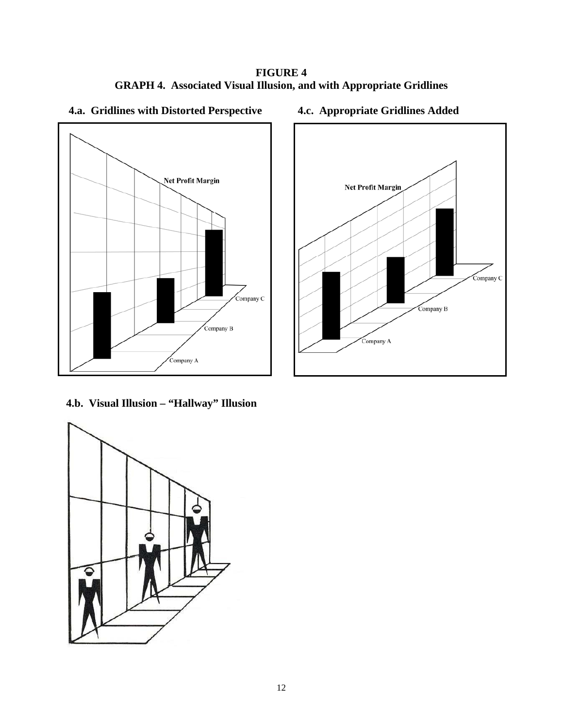**FIGURE 4 GRAPH 4. Associated Visual Illusion, and with Appropriate Gridlines** 



# **4.c. Appropriate Gridlines Added**



**4.b. Visual Illusion – "Hallway" Illusion** 

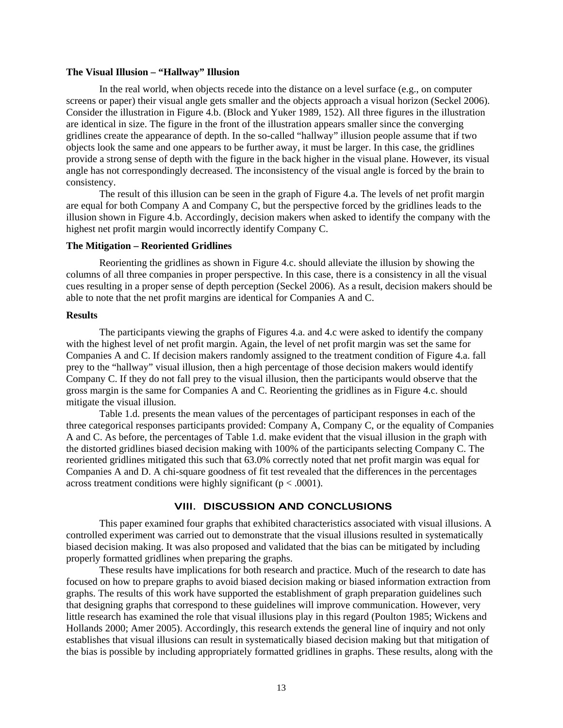### **The Visual Illusion – "Hallway" Illusion**

In the real world, when objects recede into the distance on a level surface (e.g., on computer screens or paper) their visual angle gets smaller and the objects approach a visual horizon (Seckel 2006). Consider the illustration in Figure 4.b. (Block and Yuker 1989, 152). All three figures in the illustration are identical in size. The figure in the front of the illustration appears smaller since the converging gridlines create the appearance of depth. In the so-called "hallway" illusion people assume that if two objects look the same and one appears to be further away, it must be larger. In this case, the gridlines provide a strong sense of depth with the figure in the back higher in the visual plane. However, its visual angle has not correspondingly decreased. The inconsistency of the visual angle is forced by the brain to consistency.

The result of this illusion can be seen in the graph of Figure 4.a. The levels of net profit margin are equal for both Company A and Company C, but the perspective forced by the gridlines leads to the illusion shown in Figure 4.b. Accordingly, decision makers when asked to identify the company with the highest net profit margin would incorrectly identify Company C.

### **The Mitigation – Reoriented Gridlines**

Reorienting the gridlines as shown in Figure 4.c. should alleviate the illusion by showing the columns of all three companies in proper perspective. In this case, there is a consistency in all the visual cues resulting in a proper sense of depth perception (Seckel 2006). As a result, decision makers should be able to note that the net profit margins are identical for Companies A and C.

### **Results**

The participants viewing the graphs of Figures 4.a. and 4.c were asked to identify the company with the highest level of net profit margin. Again, the level of net profit margin was set the same for Companies A and C. If decision makers randomly assigned to the treatment condition of Figure 4.a. fall prey to the "hallway" visual illusion, then a high percentage of those decision makers would identify Company C. If they do not fall prey to the visual illusion, then the participants would observe that the gross margin is the same for Companies A and C. Reorienting the gridlines as in Figure 4.c. should mitigate the visual illusion.

Table 1.d. presents the mean values of the percentages of participant responses in each of the three categorical responses participants provided: Company A, Company C, or the equality of Companies A and C. As before, the percentages of Table 1.d. make evident that the visual illusion in the graph with the distorted gridlines biased decision making with 100% of the participants selecting Company C. The reoriented gridlines mitigated this such that 63.0% correctly noted that net profit margin was equal for Companies A and D. A chi-square goodness of fit test revealed that the differences in the percentages across treatment conditions were highly significant ( $p < .0001$ ).

## **VIII. DISCUSSION AND CONCLUSIONS**

This paper examined four graphs that exhibited characteristics associated with visual illusions. A controlled experiment was carried out to demonstrate that the visual illusions resulted in systematically biased decision making. It was also proposed and validated that the bias can be mitigated by including properly formatted gridlines when preparing the graphs.

These results have implications for both research and practice. Much of the research to date has focused on how to prepare graphs to avoid biased decision making or biased information extraction from graphs. The results of this work have supported the establishment of graph preparation guidelines such that designing graphs that correspond to these guidelines will improve communication. However, very little research has examined the role that visual illusions play in this regard (Poulton 1985; Wickens and Hollands 2000; Amer 2005). Accordingly, this research extends the general line of inquiry and not only establishes that visual illusions can result in systematically biased decision making but that mitigation of the bias is possible by including appropriately formatted gridlines in graphs. These results, along with the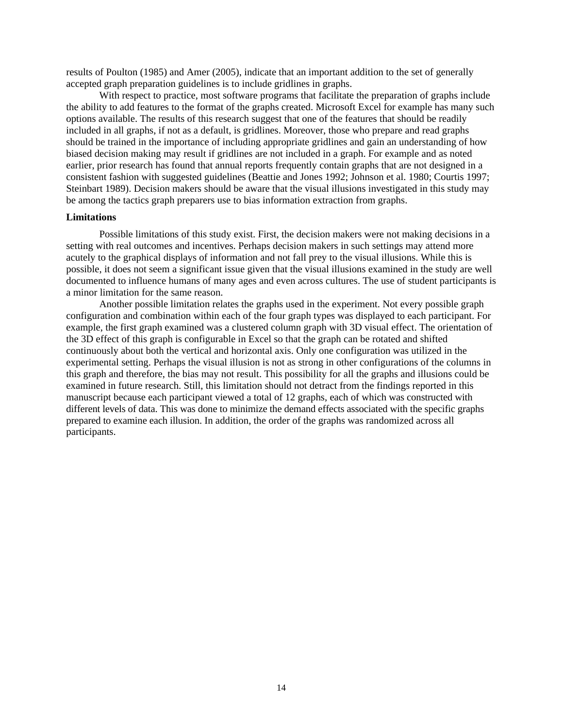results of Poulton (1985) and Amer (2005), indicate that an important addition to the set of generally accepted graph preparation guidelines is to include gridlines in graphs.

With respect to practice, most software programs that facilitate the preparation of graphs include the ability to add features to the format of the graphs created. Microsoft Excel for example has many such options available. The results of this research suggest that one of the features that should be readily included in all graphs, if not as a default, is gridlines. Moreover, those who prepare and read graphs should be trained in the importance of including appropriate gridlines and gain an understanding of how biased decision making may result if gridlines are not included in a graph. For example and as noted earlier, prior research has found that annual reports frequently contain graphs that are not designed in a consistent fashion with suggested guidelines (Beattie and Jones 1992; Johnson et al. 1980; Courtis 1997; Steinbart 1989). Decision makers should be aware that the visual illusions investigated in this study may be among the tactics graph preparers use to bias information extraction from graphs.

### **Limitations**

Possible limitations of this study exist. First, the decision makers were not making decisions in a setting with real outcomes and incentives. Perhaps decision makers in such settings may attend more acutely to the graphical displays of information and not fall prey to the visual illusions. While this is possible, it does not seem a significant issue given that the visual illusions examined in the study are well documented to influence humans of many ages and even across cultures. The use of student participants is a minor limitation for the same reason.

Another possible limitation relates the graphs used in the experiment. Not every possible graph configuration and combination within each of the four graph types was displayed to each participant. For example, the first graph examined was a clustered column graph with 3D visual effect. The orientation of the 3D effect of this graph is configurable in Excel so that the graph can be rotated and shifted continuously about both the vertical and horizontal axis. Only one configuration was utilized in the experimental setting. Perhaps the visual illusion is not as strong in other configurations of the columns in this graph and therefore, the bias may not result. This possibility for all the graphs and illusions could be examined in future research. Still, this limitation should not detract from the findings reported in this manuscript because each participant viewed a total of 12 graphs, each of which was constructed with different levels of data. This was done to minimize the demand effects associated with the specific graphs prepared to examine each illusion. In addition, the order of the graphs was randomized across all participants.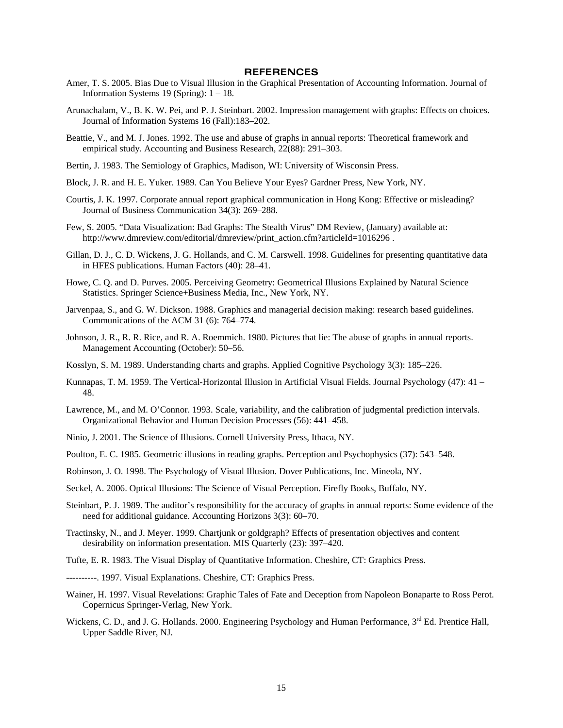### **REFERENCES**

- Amer, T. S. 2005. Bias Due to Visual Illusion in the Graphical Presentation of Accounting Information. Journal of Information Systems 19 (Spring): 1 – 18.
- Arunachalam, V., B. K. W. Pei, and P. J. Steinbart. 2002. Impression management with graphs: Effects on choices. Journal of Information Systems 16 (Fall):183–202.
- Beattie, V., and M. J. Jones. 1992. The use and abuse of graphs in annual reports: Theoretical framework and empirical study. Accounting and Business Research, 22(88): 291–303.
- Bertin, J. 1983. The Semiology of Graphics, Madison, WI: University of Wisconsin Press.
- Block, J. R. and H. E. Yuker. 1989. Can You Believe Your Eyes? Gardner Press, New York, NY.
- Courtis, J. K. 1997. Corporate annual report graphical communication in Hong Kong: Effective or misleading? Journal of Business Communication 34(3): 269–288.
- Few, S. 2005. "Data Visualization: Bad Graphs: The Stealth Virus" DM Review, (January) available at: http://www.dmreview.com/editorial/dmreview/print\_action.cfm?articleId=1016296.
- Gillan, D. J., C. D. Wickens, J. G. Hollands, and C. M. Carswell. 1998. Guidelines for presenting quantitative data in HFES publications. Human Factors (40): 28–41.
- Howe, C. Q. and D. Purves. 2005. Perceiving Geometry: Geometrical Illusions Explained by Natural Science Statistics. Springer Science+Business Media, Inc., New York, NY.
- Jarvenpaa, S., and G. W. Dickson. 1988. Graphics and managerial decision making: research based guidelines. Communications of the ACM 31 (6): 764–774.
- Johnson, J. R., R. R. Rice, and R. A. Roemmich. 1980. Pictures that lie: The abuse of graphs in annual reports. Management Accounting (October): 50–56.
- Kosslyn, S. M. 1989. Understanding charts and graphs. Applied Cognitive Psychology 3(3): 185–226.
- Kunnapas, T. M. 1959. The Vertical-Horizontal Illusion in Artificial Visual Fields. Journal Psychology (47): 41 48.
- Lawrence, M., and M. O'Connor. 1993. Scale, variability, and the calibration of judgmental prediction intervals. Organizational Behavior and Human Decision Processes (56): 441–458.
- Ninio, J. 2001. The Science of Illusions. Cornell University Press, Ithaca, NY.
- Poulton, E. C. 1985. Geometric illusions in reading graphs. Perception and Psychophysics (37): 543–548.
- Robinson, J. O. 1998. The Psychology of Visual Illusion. Dover Publications, Inc. Mineola, NY.
- Seckel, A. 2006. Optical Illusions: The Science of Visual Perception. Firefly Books, Buffalo, NY.
- Steinbart, P. J. 1989. The auditor's responsibility for the accuracy of graphs in annual reports: Some evidence of the need for additional guidance. Accounting Horizons 3(3): 60–70.
- Tractinsky, N., and J. Meyer. 1999. Chartjunk or goldgraph? Effects of presentation objectives and content desirability on information presentation. MIS Quarterly (23): 397–420.
- Tufte, E. R. 1983. The Visual Display of Quantitative Information. Cheshire, CT: Graphics Press.
- ----------. 1997. Visual Explanations. Cheshire, CT: Graphics Press.
- Wainer, H. 1997. Visual Revelations: Graphic Tales of Fate and Deception from Napoleon Bonaparte to Ross Perot. Copernicus Springer-Verlag, New York.
- Wickens, C. D., and J. G. Hollands. 2000. Engineering Psychology and Human Performance, 3<sup>rd</sup> Ed. Prentice Hall, Upper Saddle River, NJ.